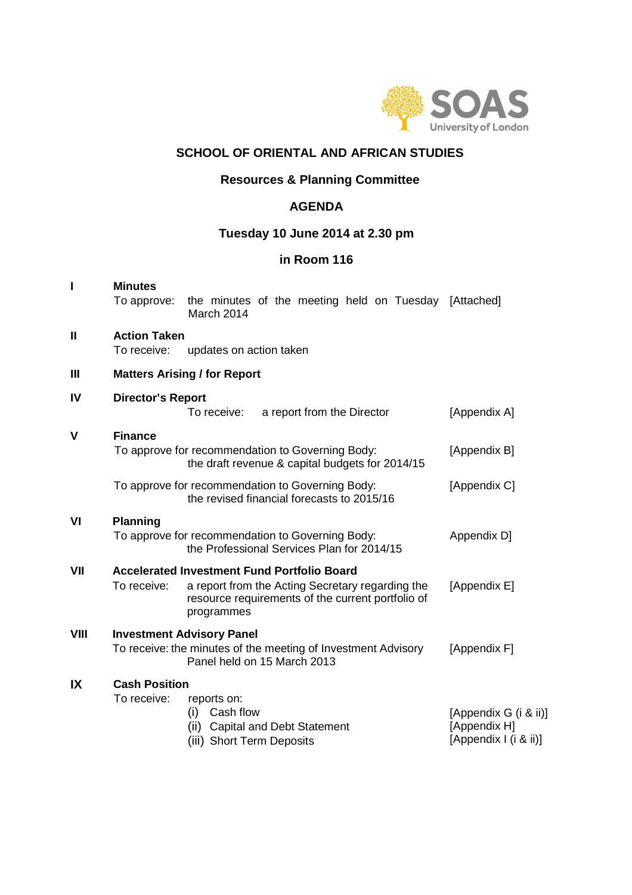

# **SCHOOL OF ORIENTAL AND AFRICAN STUDIES**

## **Resources & Planning Committee**

## **AGENDA**

# **Tuesday 10 June 2014 at 2.30 pm**

# **in Room 116**

|      | <b>Minutes</b><br>To approve:       | the minutes of the meeting held on Tuesday [Attached]<br>March 2014                                                                                                       |  |                            |                                                                |              |              |  |  |  |
|------|-------------------------------------|---------------------------------------------------------------------------------------------------------------------------------------------------------------------------|--|----------------------------|----------------------------------------------------------------|--------------|--------------|--|--|--|
| I    | <b>Action Taken</b><br>To receive:  | updates on action taken                                                                                                                                                   |  |                            |                                                                |              |              |  |  |  |
| Ш    |                                     | <b>Matters Arising / for Report</b>                                                                                                                                       |  |                            |                                                                |              |              |  |  |  |
| IV   | <b>Director's Report</b>            | To receive:                                                                                                                                                               |  | a report from the Director |                                                                |              | [Appendix A] |  |  |  |
| V    | <b>Finance</b>                      | To approve for recommendation to Governing Body:<br>the draft revenue & capital budgets for 2014/15                                                                       |  |                            |                                                                |              | [Appendix B] |  |  |  |
|      |                                     | To approve for recommendation to Governing Body:<br>the revised financial forecasts to 2015/16                                                                            |  |                            |                                                                |              | [Appendix C] |  |  |  |
| VI   | <b>Planning</b>                     | To approve for recommendation to Governing Body:<br>the Professional Services Plan for 2014/15                                                                            |  |                            |                                                                |              | Appendix D]  |  |  |  |
| VII  | To receive:                         | <b>Accelerated Investment Fund Portfolio Board</b><br>a report from the Acting Secretary regarding the<br>resource requirements of the current portfolio of<br>programmes |  |                            |                                                                | [Appendix E] |              |  |  |  |
| VIII |                                     | <b>Investment Advisory Panel</b><br>To receive: the minutes of the meeting of Investment Advisory<br>Panel held on 15 March 2013                                          |  |                            |                                                                | [Appendix F] |              |  |  |  |
| IX   | <b>Cash Position</b><br>To receive: | reports on:<br>Cash flow<br>(i)<br>(ii)<br><b>Capital and Debt Statement</b><br>(iii) Short Term Deposits                                                                 |  |                            | [Appendix G (i & ii)]<br>[Appendix H]<br>[Appendix I (i & ii)] |              |              |  |  |  |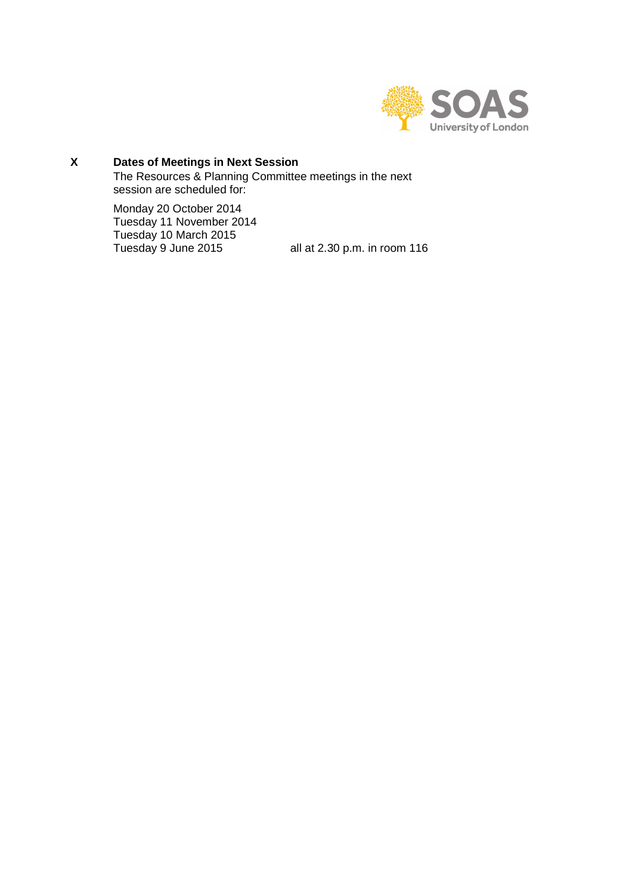

#### $\mathsf{X}$ **X Dates of Meetings in Next Session**

The Resources & Planning Committee meetings in the next session are scheduled for:

Monday 20 October 2014 Tuesday 11 November 2014 Tuesday 10 March 2015<br>Tuesday 9 June 2015

all at 2.30 p.m. in room 116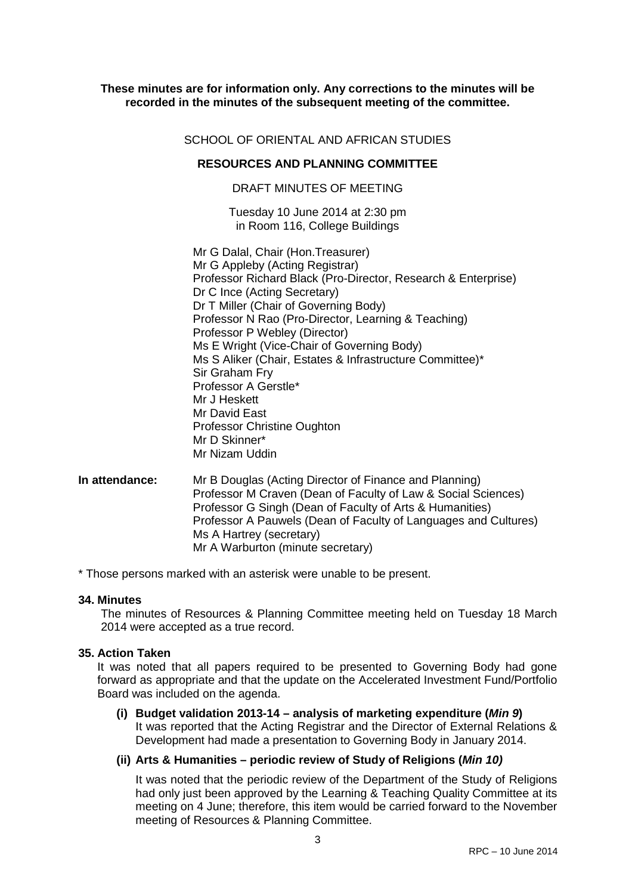#### **These minutes are for information only. Any corrections to the minutes will be recorded in the minutes of the subsequent meeting of the committee.**

#### SCHOOL OF ORIENTAL AND AFRICAN STUDIES

#### **RESOURCES AND PLANNING COMMITTEE**

### DRAFT MINUTES OF MEETING

Tuesday 10 June 2014 at 2:30 pm in Room 116, College Buildings

Mr G Dalal, Chair (Hon.Treasurer) Mr G Appleby (Acting Registrar) Professor Richard Black (Pro-Director, Research & Enterprise) Dr C Ince (Acting Secretary) Dr T Miller (Chair of Governing Body) Professor N Rao (Pro-Director, Learning & Teaching) Professor P Webley (Director) Ms E Wright (Vice-Chair of Governing Body) Ms S Aliker (Chair, Estates & Infrastructure Committee)\* Sir Graham Fry Professor A Gerstle\* Mr J Heskett Mr David East Professor Christine Oughton Mr D Skinner\* Mr Nizam Uddin

**In attendance:** Mr B Douglas (Acting Director of Finance and Planning) Professor M Craven (Dean of Faculty of Law & Social Sciences) Professor G Singh (Dean of Faculty of Arts & Humanities) Professor A Pauwels (Dean of Faculty of Languages and Cultures) Ms A Hartrey (secretary) Mr A Warburton (minute secretary)

\* Those persons marked with an asterisk were unable to be present.

#### **34. Minutes**

The minutes of Resources & Planning Committee meeting held on Tuesday 18 March 2014 were accepted as a true record.

#### **35. Action Taken**

It was noted that all papers required to be presented to Governing Body had gone forward as appropriate and that the update on the Accelerated Investment Fund/Portfolio Board was included on the agenda.

## **(i) Budget validation 2013-14 – analysis of marketing expenditure (Min 9)** It was reported that the Acting Registrar and the Director of External Relations & Development had made a presentation to Governing Body in January 2014.

#### **(ii) Arts & Humanities – periodic review of Study of Religions (Min 10)**

It was noted that the periodic review of the Department of the Study of Religions had only just been approved by the Learning & Teaching Quality Committee at its meeting on 4 June; therefore, this item would be carried forward to the November meeting of Resources & Planning Committee.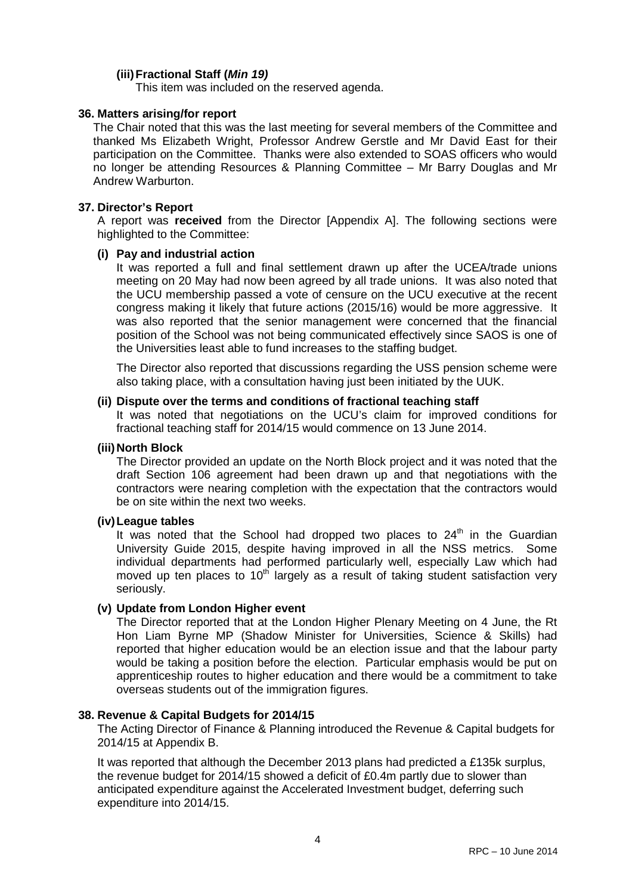## **(iii) Fractional Staff (Min 19)**

This item was included on the reserved agenda.

### **36. Matters arising/for report**

The Chair noted that this was the last meeting for several members of the Committee and thanked Ms Elizabeth Wright, Professor Andrew Gerstle and Mr David East for their participation on the Committee. Thanks were also extended to SOAS officers who would no longer be attending Resources & Planning Committee – Mr Barry Douglas and Mr Andrew Warburton.

### **37. Director's Report**

A report was **received** from the Director [Appendix A]. The following sections were highlighted to the Committee:

### **(i) Pay and industrial action**

It was reported a full and final settlement drawn up after the UCEA/trade unions meeting on 20 May had now been agreed by all trade unions. It was also noted that the UCU membership passed a vote of censure on the UCU executive at the recent congress making it likely that future actions (2015/16) would be more aggressive. It was also reported that the senior management were concerned that the financial position of the School was not being communicated effectively since SAOS is one of the Universities least able to fund increases to the staffing budget.

The Director also reported that discussions regarding the USS pension scheme were also taking place, with a consultation having just been initiated by the UUK.

### **(ii) Dispute over the terms and conditions of fractional teaching staff**

It was noted that negotiations on the UCU's claim for improved conditions for fractional teaching staff for 2014/15 would commence on 13 June 2014.

#### **(iii) North Block**

The Director provided an update on the North Block project and it was noted that the draft Section 106 agreement had been drawn up and that negotiations with the contractors were nearing completion with the expectation that the contractors would be on site within the next two weeks.

#### **(iv) League tables**

It was noted that the School had dropped two places to  $24<sup>th</sup>$  in the Guardian University Guide 2015, despite having improved in all the NSS metrics. Some individual departments had performed particularly well, especially Law which had moved up ten places to  $10<sup>th</sup>$  largely as a result of taking student satisfaction very seriously.

## **(v) Update from London Higher event**

The Director reported that at the London Higher Plenary Meeting on 4 June, the Rt Hon Liam Byrne MP (Shadow Minister for Universities, Science & Skills) had reported that higher education would be an election issue and that the labour party would be taking a position before the election. Particular emphasis would be put on apprenticeship routes to higher education and there would be a commitment to take overseas students out of the immigration figures.

#### **38. Revenue & Capital Budgets for 2014/15**

The Acting Director of Finance & Planning introduced the Revenue & Capital budgets for 2014/15 at Appendix B.

It was reported that although the December 2013 plans had predicted a £135k surplus, the revenue budget for 2014/15 showed a deficit of £0.4m partly due to slower than anticipated expenditure against the Accelerated Investment budget, deferring such expenditure into 2014/15.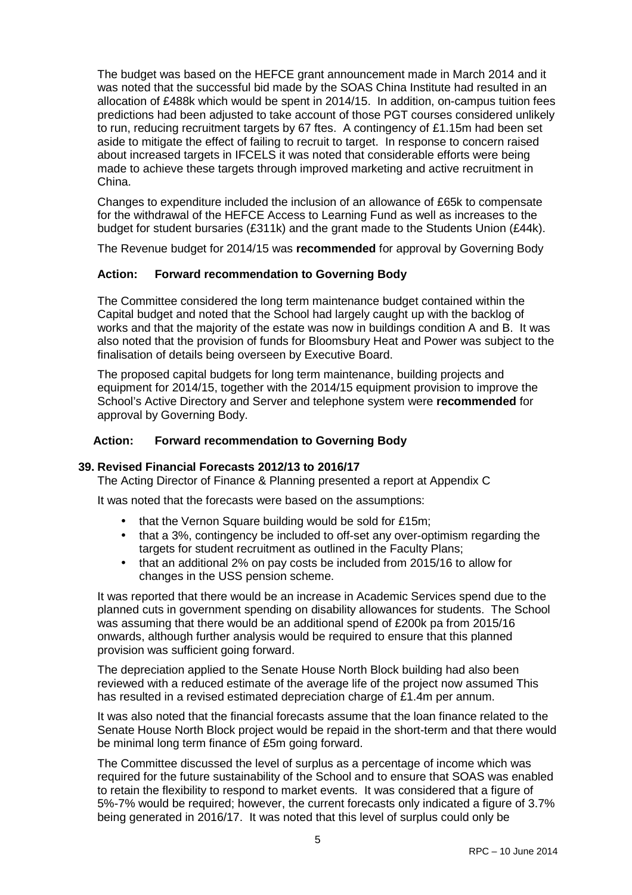The budget was based on the HEFCE grant announcement made in March 2014 and it was noted that the successful bid made by the SOAS China Institute had resulted in an allocation of £488k which would be spent in 2014/15. In addition, on-campus tuition fees predictions had been adjusted to take account of those PGT courses considered unlikely to run, reducing recruitment targets by 67 ftes. A contingency of £1.15m had been set aside to mitigate the effect of failing to recruit to target. In response to concern raised about increased targets in IFCELS it was noted that considerable efforts were being made to achieve these targets through improved marketing and active recruitment in China.

Changes to expenditure included the inclusion of an allowance of £65k to compensate for the withdrawal of the HEFCE Access to Learning Fund as well as increases to the budget for student bursaries (£311k) and the grant made to the Students Union (£44k).

The Revenue budget for 2014/15 was **recommended** for approval by Governing Body

### **Action: Forward recommendation to Governing Body**

The Committee considered the long term maintenance budget contained within the Capital budget and noted that the School had largely caught up with the backlog of works and that the majority of the estate was now in buildings condition A and B. It was also noted that the provision of funds for Bloomsbury Heat and Power was subject to the finalisation of details being overseen by Executive Board.

The proposed capital budgets for long term maintenance, building projects and equipment for 2014/15, together with the 2014/15 equipment provision to improve the School's Active Directory and Server and telephone system were **recommended** for approval by Governing Body.

### **Action: Forward recommendation to Governing Body**

#### **39. Revised Financial Forecasts 2012/13 to 2016/17**

The Acting Director of Finance & Planning presented a report at Appendix C

It was noted that the forecasts were based on the assumptions:

- that the Vernon Square building would be sold for £15m;
- that a 3%, contingency be included to off-set any over-optimism regarding the targets for student recruitment as outlined in the Faculty Plans;
- that an additional 2% on pay costs be included from 2015/16 to allow for changes in the USS pension scheme.

It was reported that there would be an increase in Academic Services spend due to the planned cuts in government spending on disability allowances for students. The School was assuming that there would be an additional spend of £200k pa from 2015/16 onwards, although further analysis would be required to ensure that this planned provision was sufficient going forward.

The depreciation applied to the Senate House North Block building had also been reviewed with a reduced estimate of the average life of the project now assumed This has resulted in a revised estimated depreciation charge of £1.4m per annum.

It was also noted that the financial forecasts assume that the loan finance related to the Senate House North Block project would be repaid in the short-term and that there would be minimal long term finance of £5m going forward.

The Committee discussed the level of surplus as a percentage of income which was required for the future sustainability of the School and to ensure that SOAS was enabled to retain the flexibility to respond to market events. It was considered that a figure of 5%-7% would be required; however, the current forecasts only indicated a figure of 3.7% being generated in 2016/17. It was noted that this level of surplus could only be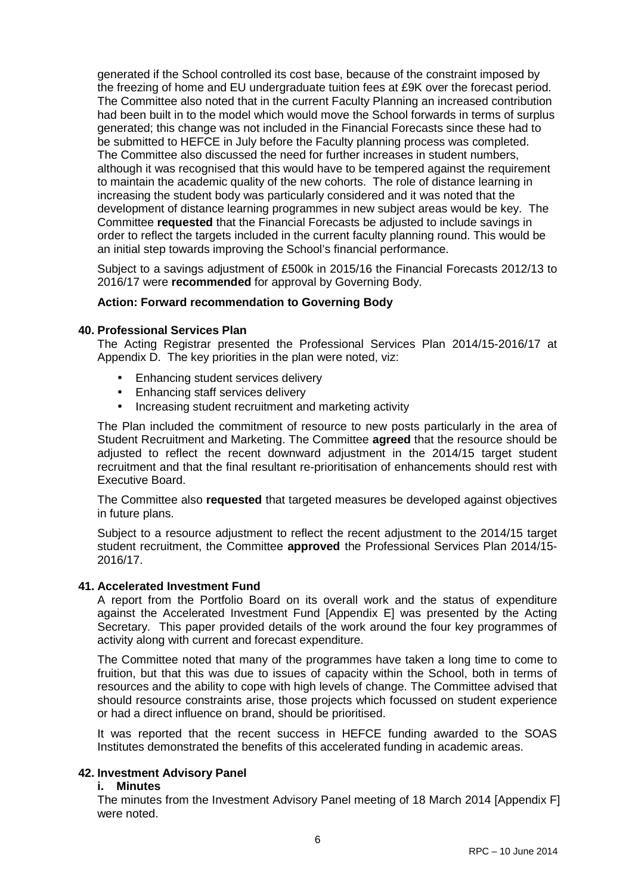generated if the School controlled its cost base, because of the constraint imposed by the freezing of home and EU undergraduate tuition fees at £9K over the forecast period. The Committee also noted that in the current Faculty Planning an increased contribution had been built in to the model which would move the School forwards in terms of surplus generated; this change was not included in the Financial Forecasts since these had to be submitted to HEFCE in July before the Faculty planning process was completed. The Committee also discussed the need for further increases in student numbers, although it was recognised that this would have to be tempered against the requirement to maintain the academic quality of the new cohorts. The role of distance learning in increasing the student body was particularly considered and it was noted that the development of distance learning programmes in new subject areas would be key. The Committee **requested** that the Financial Forecasts be adjusted to include savings in order to reflect the targets included in the current faculty planning round. This would be an initial step towards improving the School's financial performance.

Subject to a savings adjustment of £500k in 2015/16 the Financial Forecasts 2012/13 to 2016/17 were **recommended** for approval by Governing Body.

### **Action: Forward recommendation to Governing Body**

#### **40. Professional Services Plan**

The Acting Registrar presented the Professional Services Plan 2014/15-2016/17 at Appendix D. The key priorities in the plan were noted, viz:

- Enhancing student services delivery
- Enhancing staff services delivery
- Increasing student recruitment and marketing activity

The Plan included the commitment of resource to new posts particularly in the area of Student Recruitment and Marketing. The Committee **agreed** that the resource should be adjusted to reflect the recent downward adjustment in the 2014/15 target student recruitment and that the final resultant re-prioritisation of enhancements should rest with Executive Board.

The Committee also **requested** that targeted measures be developed against objectives in future plans.

Subject to a resource adjustment to reflect the recent adjustment to the 2014/15 target student recruitment, the Committee **approved** the Professional Services Plan 2014/15- 2016/17.

#### **41. Accelerated Investment Fund**

A report from the Portfolio Board on its overall work and the status of expenditure against the Accelerated Investment Fund [Appendix E] was presented by the Acting Secretary. This paper provided details of the work around the four key programmes of activity along with current and forecast expenditure.

The Committee noted that many of the programmes have taken a long time to come to fruition, but that this was due to issues of capacity within the School, both in terms of resources and the ability to cope with high levels of change. The Committee advised that should resource constraints arise, those projects which focussed on student experience or had a direct influence on brand, should be prioritised.

It was reported that the recent success in HEFCE funding awarded to the SOAS Institutes demonstrated the benefits of this accelerated funding in academic areas.

#### **42. Investment Advisory Panel**

#### **i. Minutes**

The minutes from the Investment Advisory Panel meeting of 18 March 2014 [Appendix F] were noted.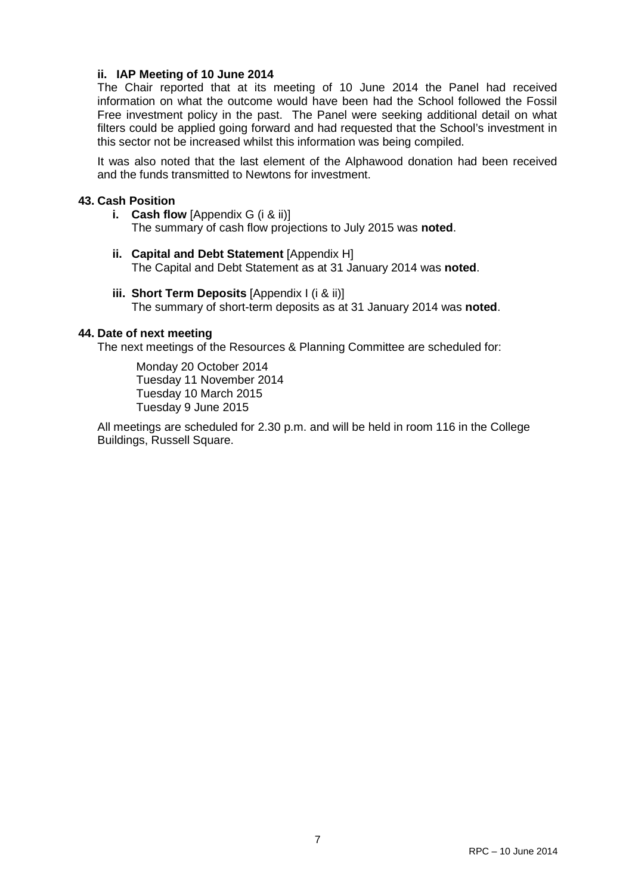## **ii. IAP Meeting of 10 June 2014**

The Chair reported that at its meeting of 10 June 2014 the Panel had received information on what the outcome would have been had the School followed the Fossil Free investment policy in the past. The Panel were seeking additional detail on what filters could be applied going forward and had requested that the School's investment in this sector not be increased whilst this information was being compiled.

It was also noted that the last element of the Alphawood donation had been received and the funds transmitted to Newtons for investment.

#### **43. Cash Position**

- **i. Cash flow** [Appendix G (i & ii)] The summary of cash flow projections to July 2015 was **noted**.
- **ii. Capital and Debt Statement** [Appendix H] The Capital and Debt Statement as at 31 January 2014 was **noted**.
- **iii. Short Term Deposits** [Appendix I (i & ii)] The summary of short-term deposits as at 31 January 2014 was **noted**.

### **44. Date of next meeting**

The next meetings of the Resources & Planning Committee are scheduled for:

Monday 20 October 2014 Tuesday 11 November 2014 Tuesday 10 March 2015 Tuesday 9 June 2015

All meetings are scheduled for 2.30 p.m. and will be held in room 116 in the College Buildings, Russell Square.